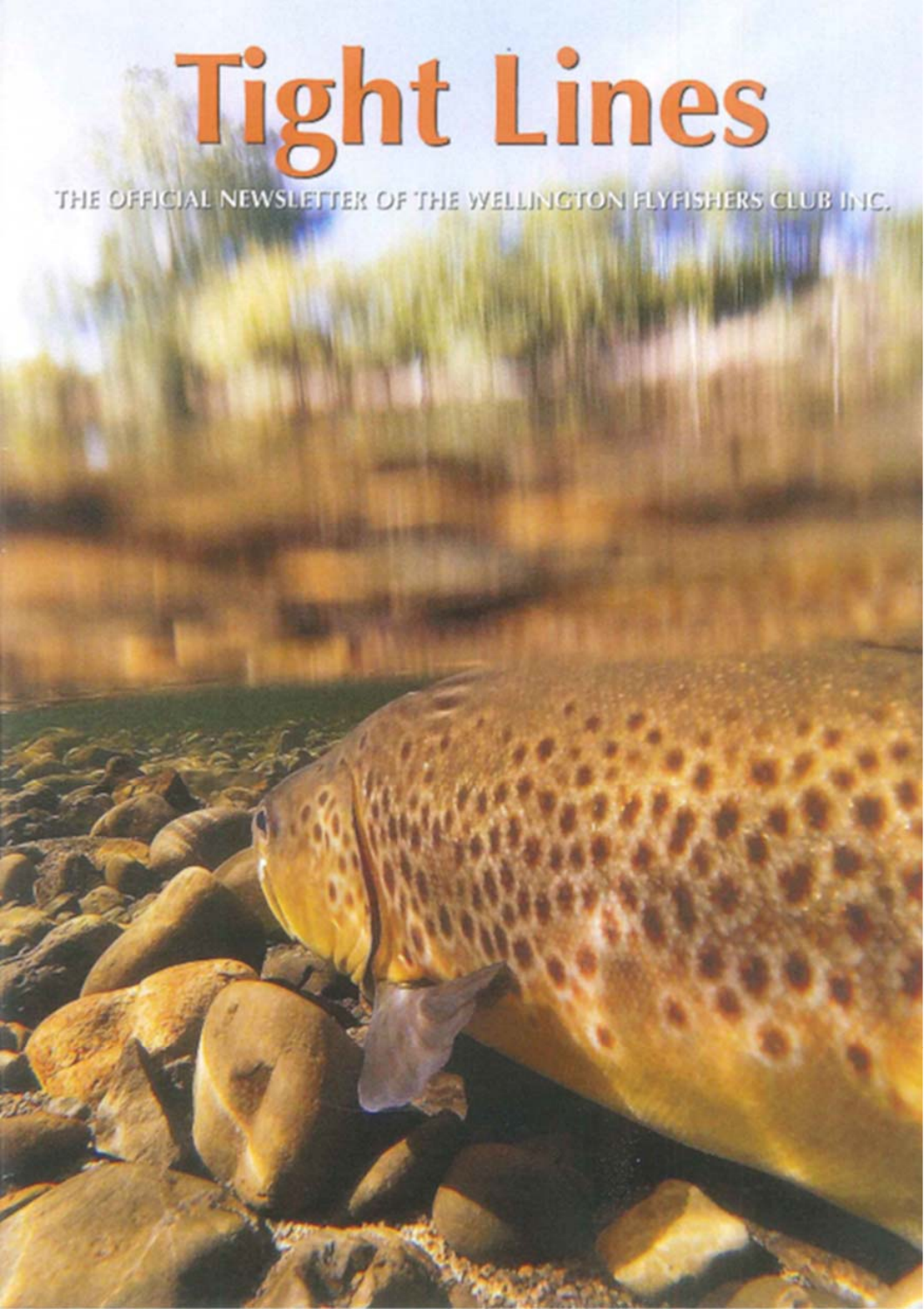# **Tight Lines**

THE OFFICIAL NEWSLETTER OF THE WELLINGTON FLYFISHERS CLUB INC.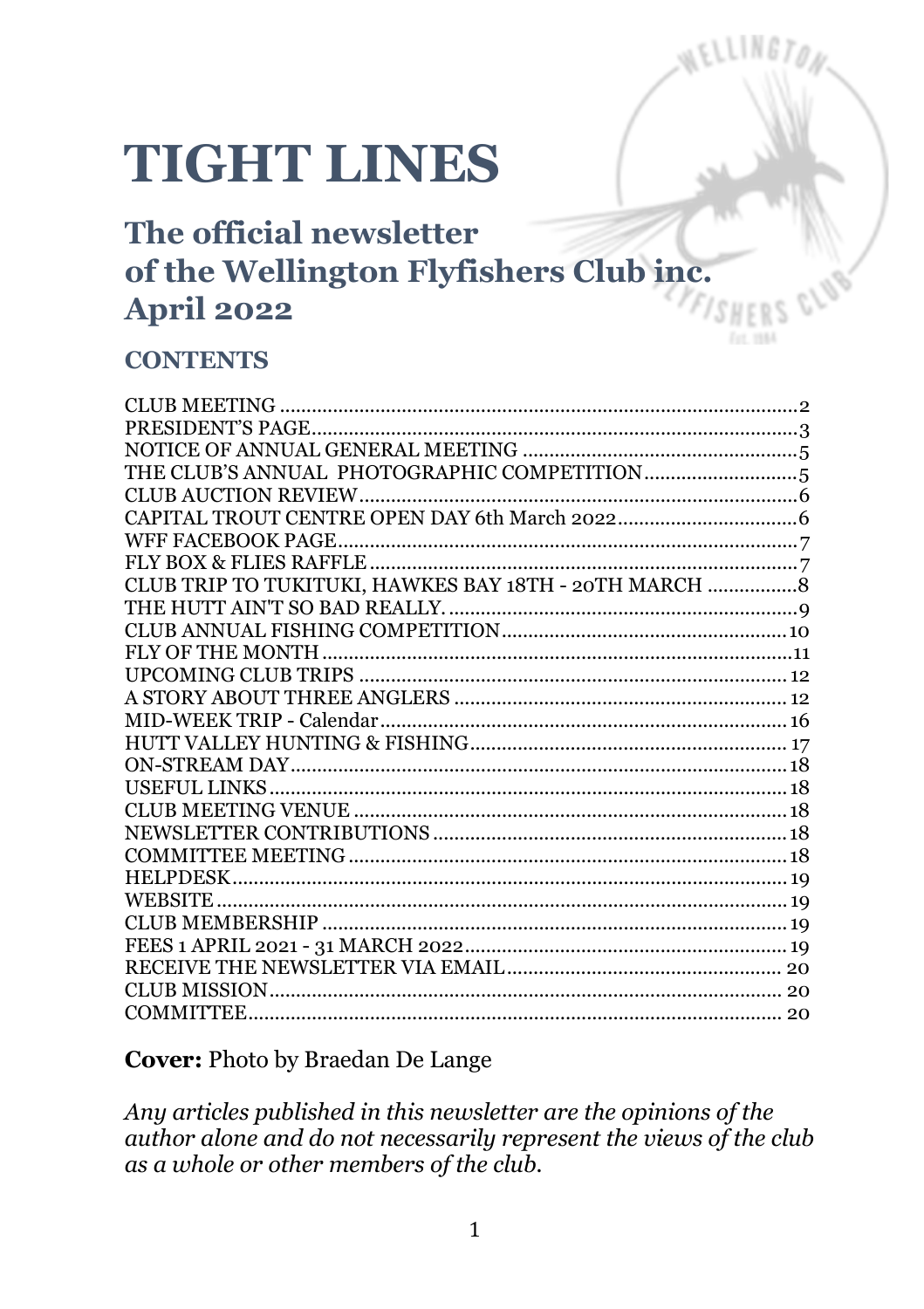# **TIGHT LINES**

## The official newsletter of the Wellington Flyfishers Club inc. **April 2022**

#### **CONTENTS**

| CLUB TRIP TO TUKITUKI, HAWKES BAY 18TH - 20TH MARCH  8 |  |
|--------------------------------------------------------|--|
|                                                        |  |
|                                                        |  |
|                                                        |  |
|                                                        |  |
|                                                        |  |
|                                                        |  |
|                                                        |  |
|                                                        |  |
|                                                        |  |
|                                                        |  |
|                                                        |  |
|                                                        |  |
|                                                        |  |
|                                                        |  |
|                                                        |  |
|                                                        |  |
|                                                        |  |
|                                                        |  |
|                                                        |  |
|                                                        |  |

#### **Cover: Photo by Braedan De Lange**

Any articles published in this newsletter are the opinions of the author alone and do not necessarily represent the views of the club as a whole or other members of the club.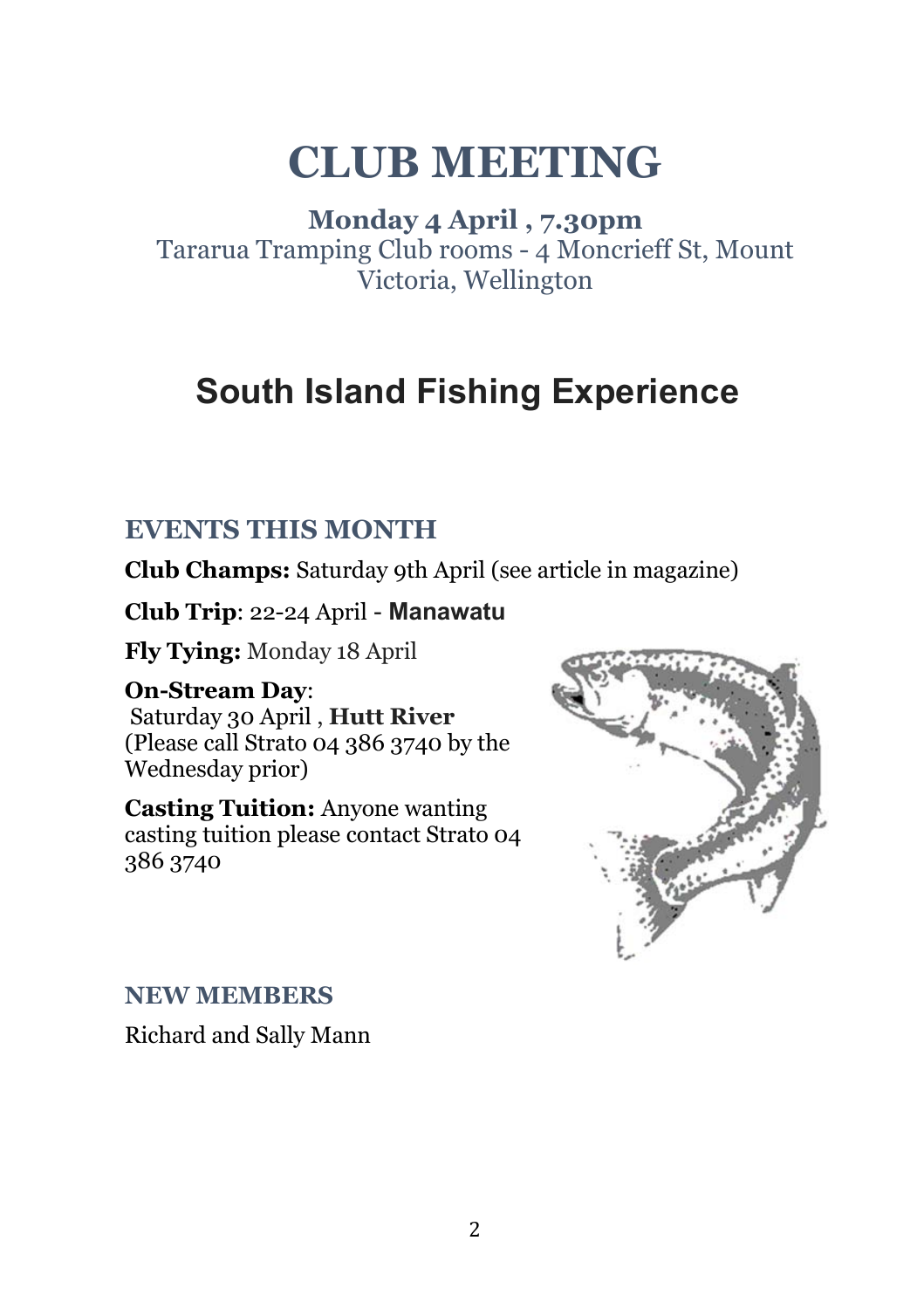# **CLUB MEETING**

**Monday 4 April , 7.30pm**  Tararua Tramping Club rooms - 4 Moncrieff St, Mount Victoria, Wellington

## **South Island Fishing Experience**

#### **EVENTS THIS MONTH**

**Club Champs:** Saturday 9th April (see article in magazine)

**Club Trip**: 22-24 April - **Manawatu**

**Fly Tying:** Monday 18 April

#### **On-Stream Day**:

 Saturday 30 April , **Hutt River** (Please call Strato 04 386 3740 by the Wednesday prior)

**Casting Tuition:** Anyone wanting casting tuition please contact Strato 04 386 3740



#### **NEW MEMBERS**

Richard and Sally Mann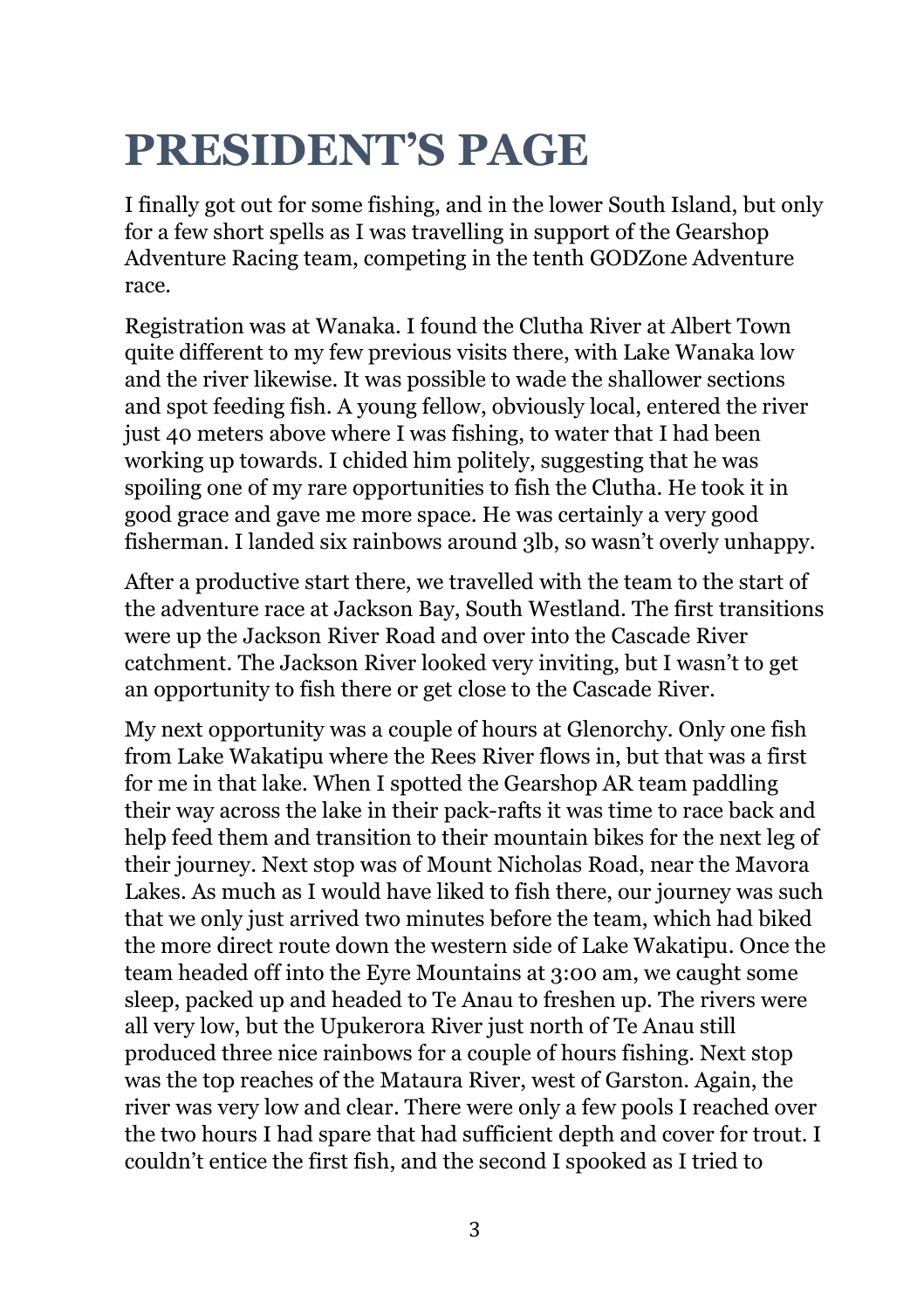# **PRESIDENT'S PAGE**

I finally got out for some fishing, and in the lower South Island, but only for a few short spells as I was travelling in support of the Gearshop Adventure Racing team, competing in the tenth GODZone Adventure race.

Registration was at Wanaka. I found the Clutha River at Albert Town quite different to my few previous visits there, with Lake Wanaka low and the river likewise. It was possible to wade the shallower sections and spot feeding fish. A young fellow, obviously local, entered the river just 40 meters above where I was fishing, to water that I had been working up towards. I chided him politely, suggesting that he was spoiling one of my rare opportunities to fish the Clutha. He took it in good grace and gave me more space. He was certainly a very good fisherman. I landed six rainbows around 3lb, so wasn't overly unhappy.

After a productive start there, we travelled with the team to the start of the adventure race at Jackson Bay, South Westland. The first transitions were up the Jackson River Road and over into the Cascade River catchment. The Jackson River looked very inviting, but I wasn't to get an opportunity to fish there or get close to the Cascade River.

My next opportunity was a couple of hours at Glenorchy. Only one fish from Lake Wakatipu where the Rees River flows in, but that was a first for me in that lake. When I spotted the Gearshop AR team paddling their way across the lake in their pack-rafts it was time to race back and help feed them and transition to their mountain bikes for the next leg of their journey. Next stop was of Mount Nicholas Road, near the Mavora Lakes. As much as I would have liked to fish there, our journey was such that we only just arrived two minutes before the team, which had biked the more direct route down the western side of Lake Wakatipu. Once the team headed off into the Eyre Mountains at 3:00 am, we caught some sleep, packed up and headed to Te Anau to freshen up. The rivers were all very low, but the Upukerora River just north of Te Anau still produced three nice rainbows for a couple of hours fishing. Next stop was the top reaches of the Mataura River, west of Garston. Again, the river was very low and clear. There were only a few pools I reached over the two hours I had spare that had sufficient depth and cover for trout. I couldn't entice the first fish, and the second I spooked as I tried to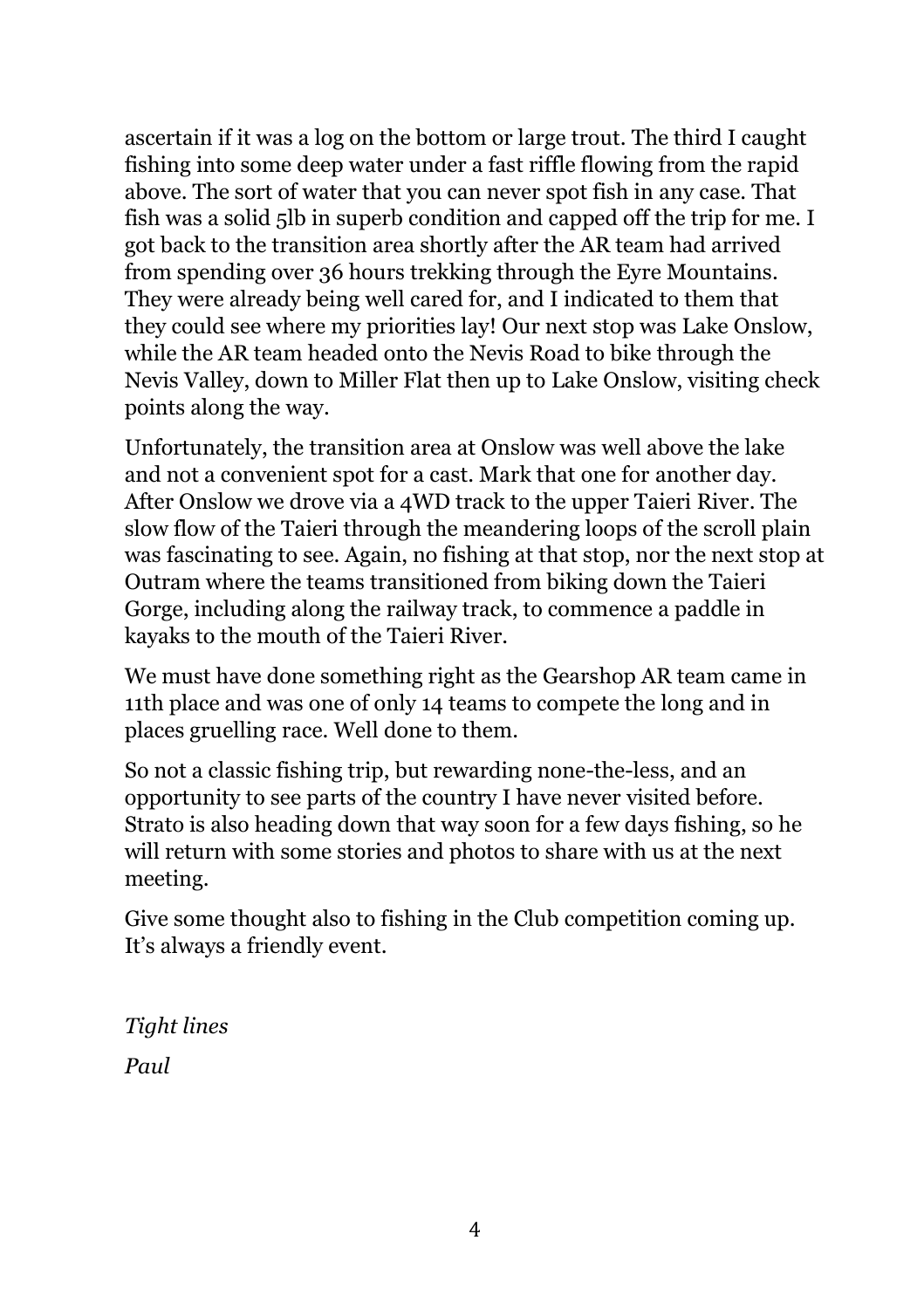ascertain if it was a log on the bottom or large trout. The third I caught fishing into some deep water under a fast riffle flowing from the rapid above. The sort of water that you can never spot fish in any case. That fish was a solid 5lb in superb condition and capped off the trip for me. I got back to the transition area shortly after the AR team had arrived from spending over 36 hours trekking through the Eyre Mountains. They were already being well cared for, and I indicated to them that they could see where my priorities lay! Our next stop was Lake Onslow, while the AR team headed onto the Nevis Road to bike through the Nevis Valley, down to Miller Flat then up to Lake Onslow, visiting check points along the way.

Unfortunately, the transition area at Onslow was well above the lake and not a convenient spot for a cast. Mark that one for another day. After Onslow we drove via a 4WD track to the upper Taieri River. The slow flow of the Taieri through the meandering loops of the scroll plain was fascinating to see. Again, no fishing at that stop, nor the next stop at Outram where the teams transitioned from biking down the Taieri Gorge, including along the railway track, to commence a paddle in kayaks to the mouth of the Taieri River.

We must have done something right as the Gearshop AR team came in 11th place and was one of only 14 teams to compete the long and in places gruelling race. Well done to them.

So not a classic fishing trip, but rewarding none-the-less, and an opportunity to see parts of the country I have never visited before. Strato is also heading down that way soon for a few days fishing, so he will return with some stories and photos to share with us at the next meeting.

Give some thought also to fishing in the Club competition coming up. It's always a friendly event.

*Tight lines Paul*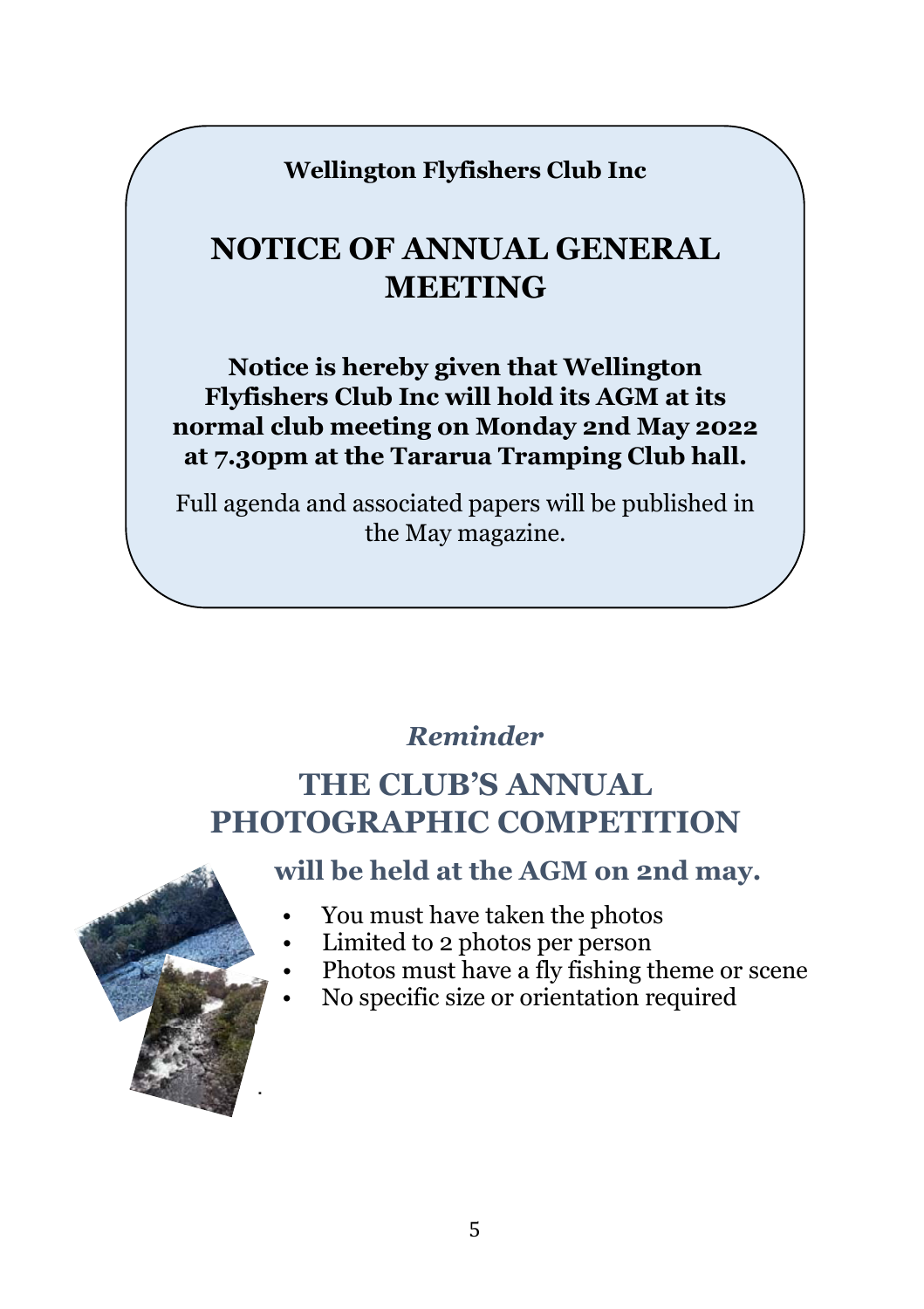**Wellington Flyfishers Club Inc**

## **NOTICE OF ANNUAL GENERAL MEETING**

**Notice is hereby given that Wellington Flyfishers Club Inc will hold its AGM at its normal club meeting on Monday 2nd May 2022 at 7.30pm at the Tararua Tramping Club hall.** 

Full agenda and associated papers will be published in the May magazine.

#### *Reminder*

## **THE CLUB'S ANNUAL PHOTOGRAPHIC COMPETITION**



**will be held at the AGM on 2nd may.**

- You must have taken the photos
- Limited to 2 photos per person
- Photos must have a fly fishing theme or scene
- No specific size or orientation required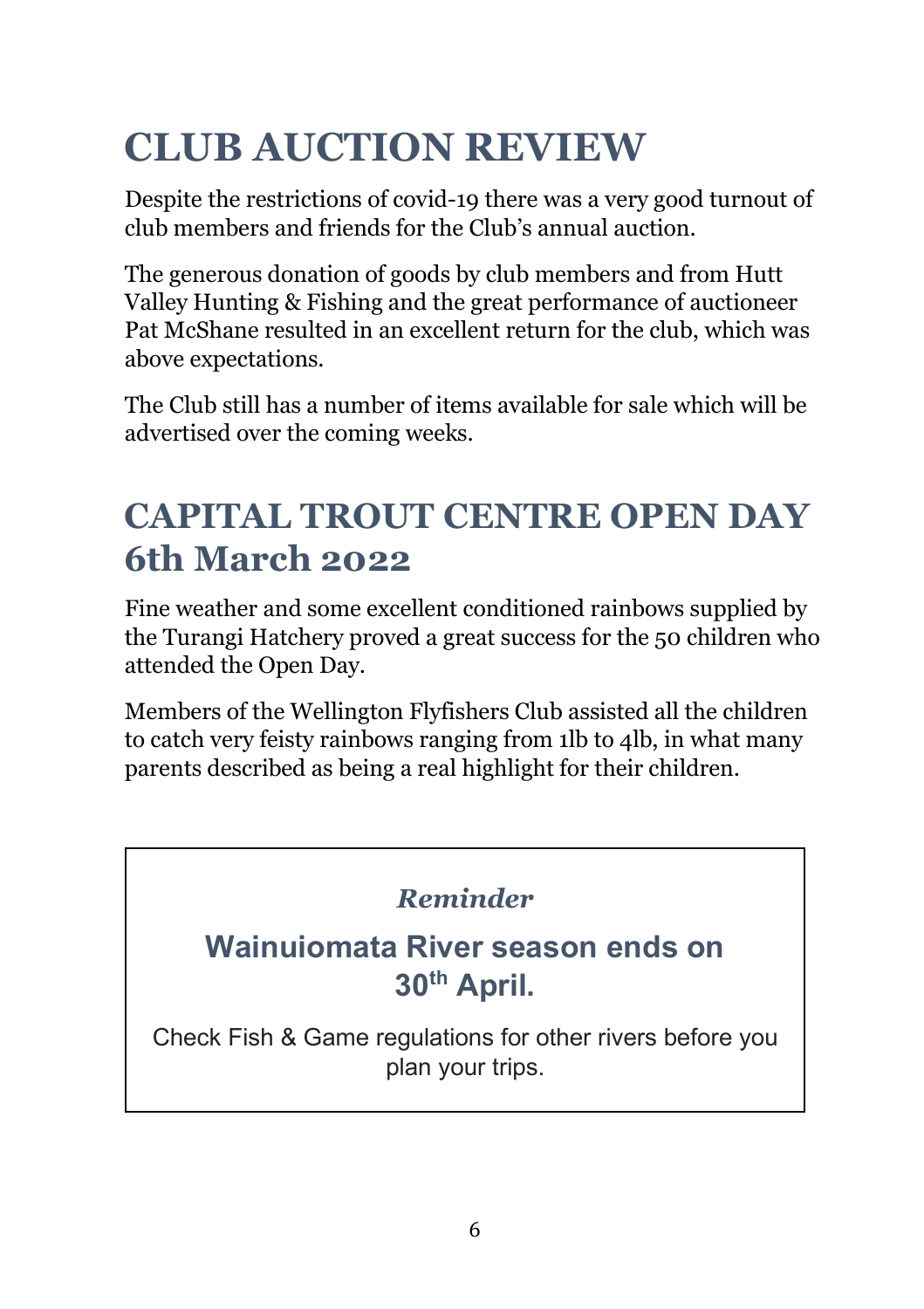# **CLUB AUCTION REVIEW**

Despite the restrictions of covid-19 there was a very good turnout of club members and friends for the Club's annual auction.

The generous donation of goods by club members and from Hutt Valley Hunting & Fishing and the great performance of auctioneer Pat McShane resulted in an excellent return for the club, which was above expectations.

The Club still has a number of items available for sale which will be advertised over the coming weeks.

## **CAPITAL TROUT CENTRE OPEN DAY 6th March 2022**

Fine weather and some excellent conditioned rainbows supplied by the Turangi Hatchery proved a great success for the 50 children who attended the Open Day.

Members of the Wellington Flyfishers Club assisted all the children to catch very feisty rainbows ranging from 1lb to 4lb, in what many parents described as being a real highlight for their children.

#### *Reminder*

### **Wainuiomata River season ends on 30th April.**

Check Fish & Game regulations for other rivers before you plan your trips.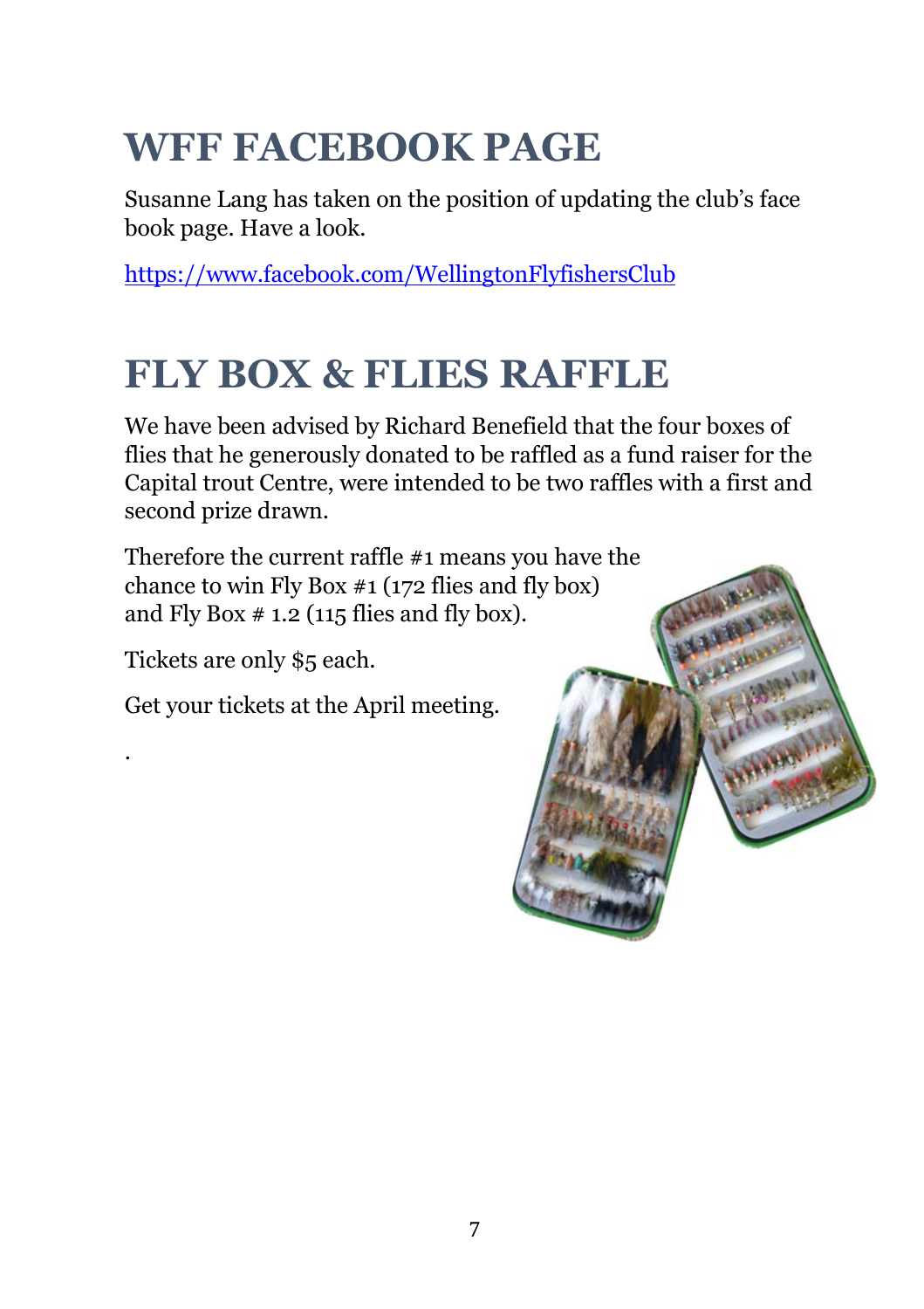# **WFF FACEBOOK PAGE**

Susanne Lang has taken on the position of updating the club's face book page. Have a look.

https://www.facebook.com/WellingtonFlyfishersClub

## **FLY BOX & FLIES RAFFLE**

We have been advised by Richard Benefield that the four boxes of flies that he generously donated to be raffled as a fund raiser for the Capital trout Centre, were intended to be two raffles with a first and second prize drawn.

Therefore the current raffle #1 means you have the chance to win Fly Box #1 (172 flies and fly box) and Fly Box  $# 1.2$  (115 flies and fly box).

Tickets are only \$5 each.

.

Get your tickets at the April meeting.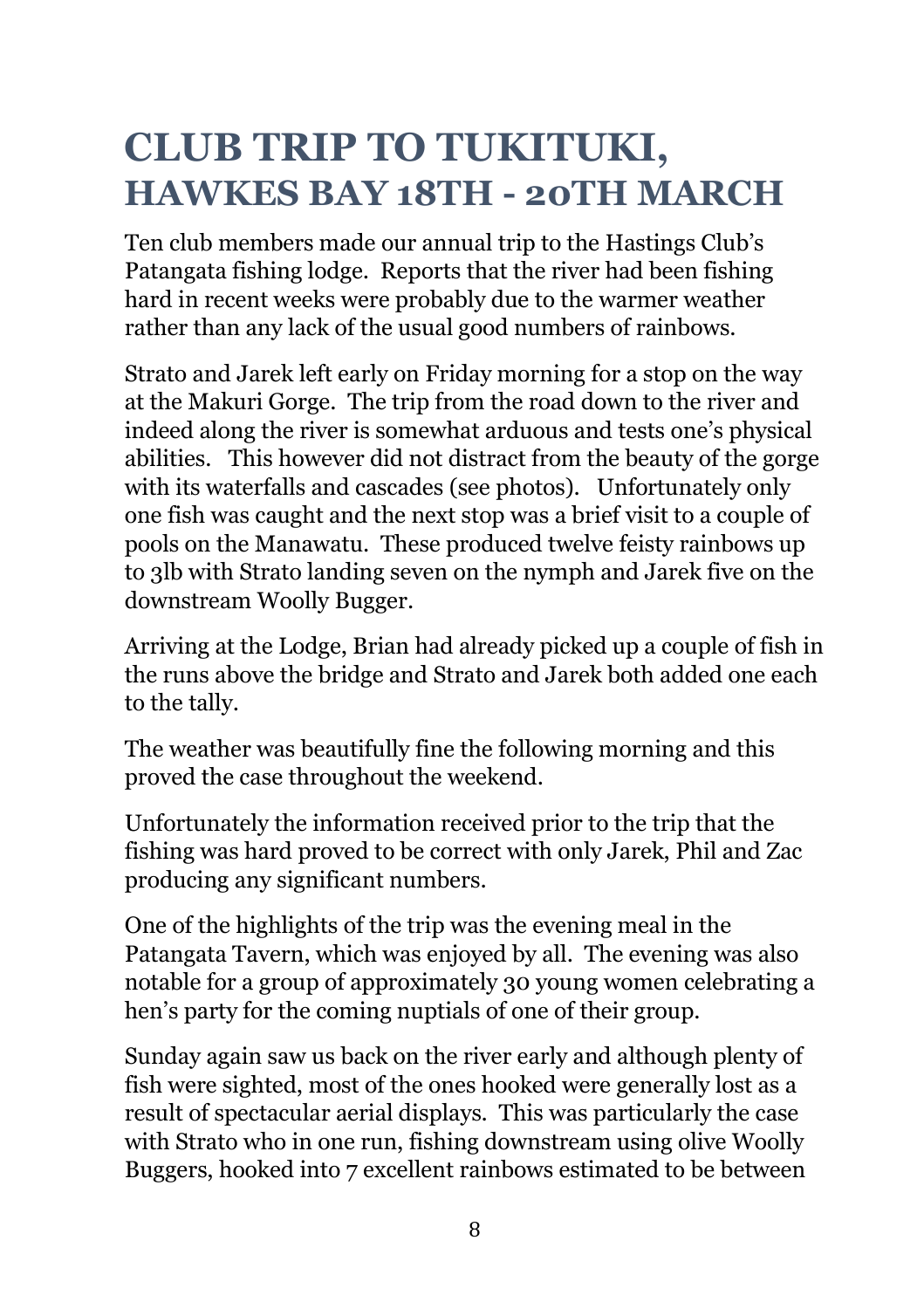## **CLUB TRIP TO TUKITUKI, HAWKES BAY 18TH - 20TH MARCH**

Ten club members made our annual trip to the Hastings Club's Patangata fishing lodge. Reports that the river had been fishing hard in recent weeks were probably due to the warmer weather rather than any lack of the usual good numbers of rainbows.

Strato and Jarek left early on Friday morning for a stop on the way at the Makuri Gorge. The trip from the road down to the river and indeed along the river is somewhat arduous and tests one's physical abilities. This however did not distract from the beauty of the gorge with its waterfalls and cascades (see photos). Unfortunately only one fish was caught and the next stop was a brief visit to a couple of pools on the Manawatu. These produced twelve feisty rainbows up to 3lb with Strato landing seven on the nymph and Jarek five on the downstream Woolly Bugger.

Arriving at the Lodge, Brian had already picked up a couple of fish in the runs above the bridge and Strato and Jarek both added one each to the tally.

The weather was beautifully fine the following morning and this proved the case throughout the weekend.

Unfortunately the information received prior to the trip that the fishing was hard proved to be correct with only Jarek, Phil and Zac producing any significant numbers.

One of the highlights of the trip was the evening meal in the Patangata Tavern, which was enjoyed by all. The evening was also notable for a group of approximately 30 young women celebrating a hen's party for the coming nuptials of one of their group.

Sunday again saw us back on the river early and although plenty of fish were sighted, most of the ones hooked were generally lost as a result of spectacular aerial displays. This was particularly the case with Strato who in one run, fishing downstream using olive Woolly Buggers, hooked into 7 excellent rainbows estimated to be between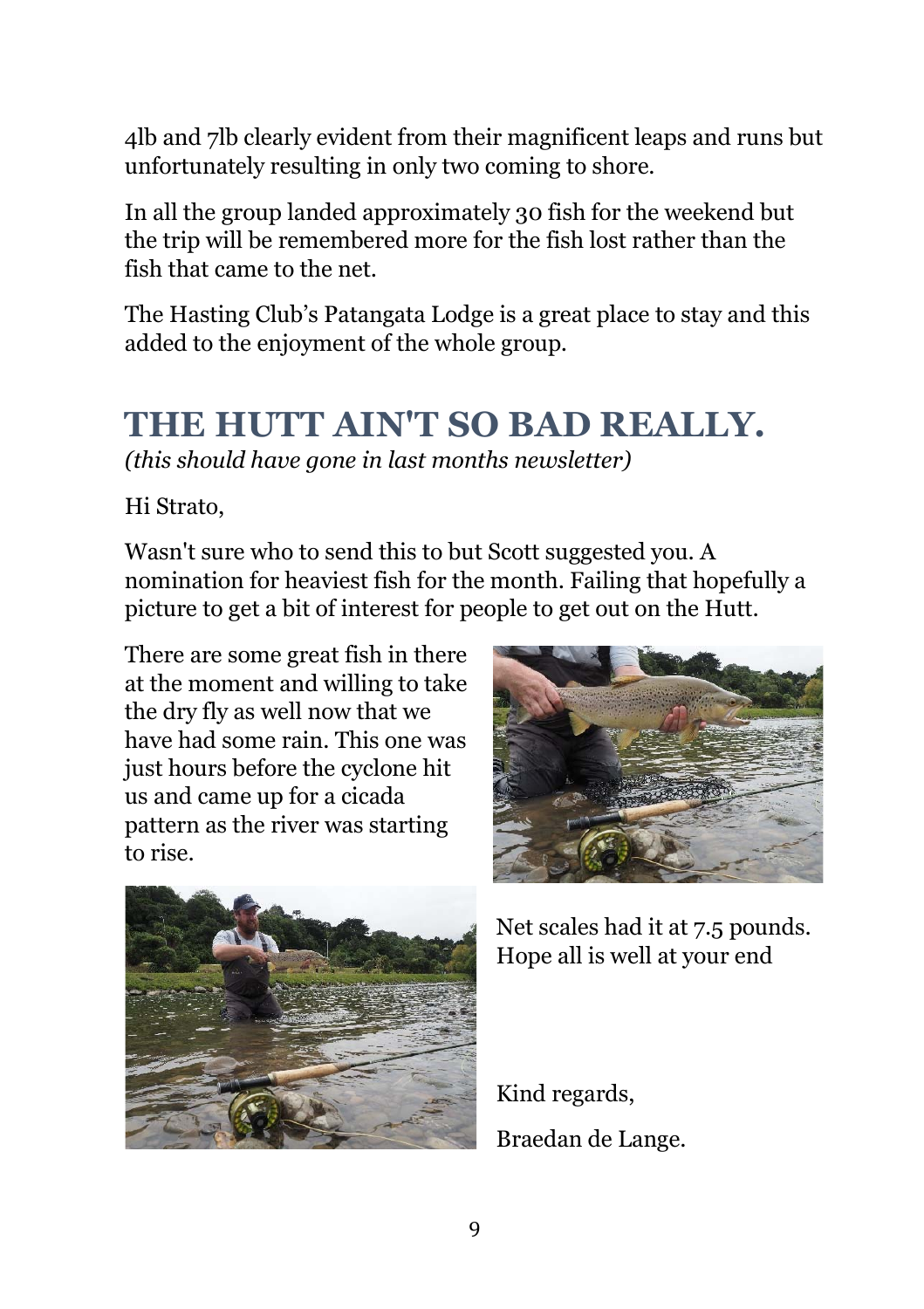4lb and 7lb clearly evident from their magnificent leaps and runs but unfortunately resulting in only two coming to shore.

In all the group landed approximately 30 fish for the weekend but the trip will be remembered more for the fish lost rather than the fish that came to the net.

The Hasting Club's Patangata Lodge is a great place to stay and this added to the enjoyment of the whole group.

## **THE HUTT AIN'T SO BAD REALLY.**

*(this should have gone in last months newsletter)* 

Hi Strato,

Wasn't sure who to send this to but Scott suggested you. A nomination for heaviest fish for the month. Failing that hopefully a picture to get a bit of interest for people to get out on the Hutt.

There are some great fish in there at the moment and willing to take the dry fly as well now that we have had some rain. This one was just hours before the cyclone hit us and came up for a cicada pattern as the river was starting to rise.





Net scales had it at 7.5 pounds. Hope all is well at your end

Kind regards, Braedan de Lange.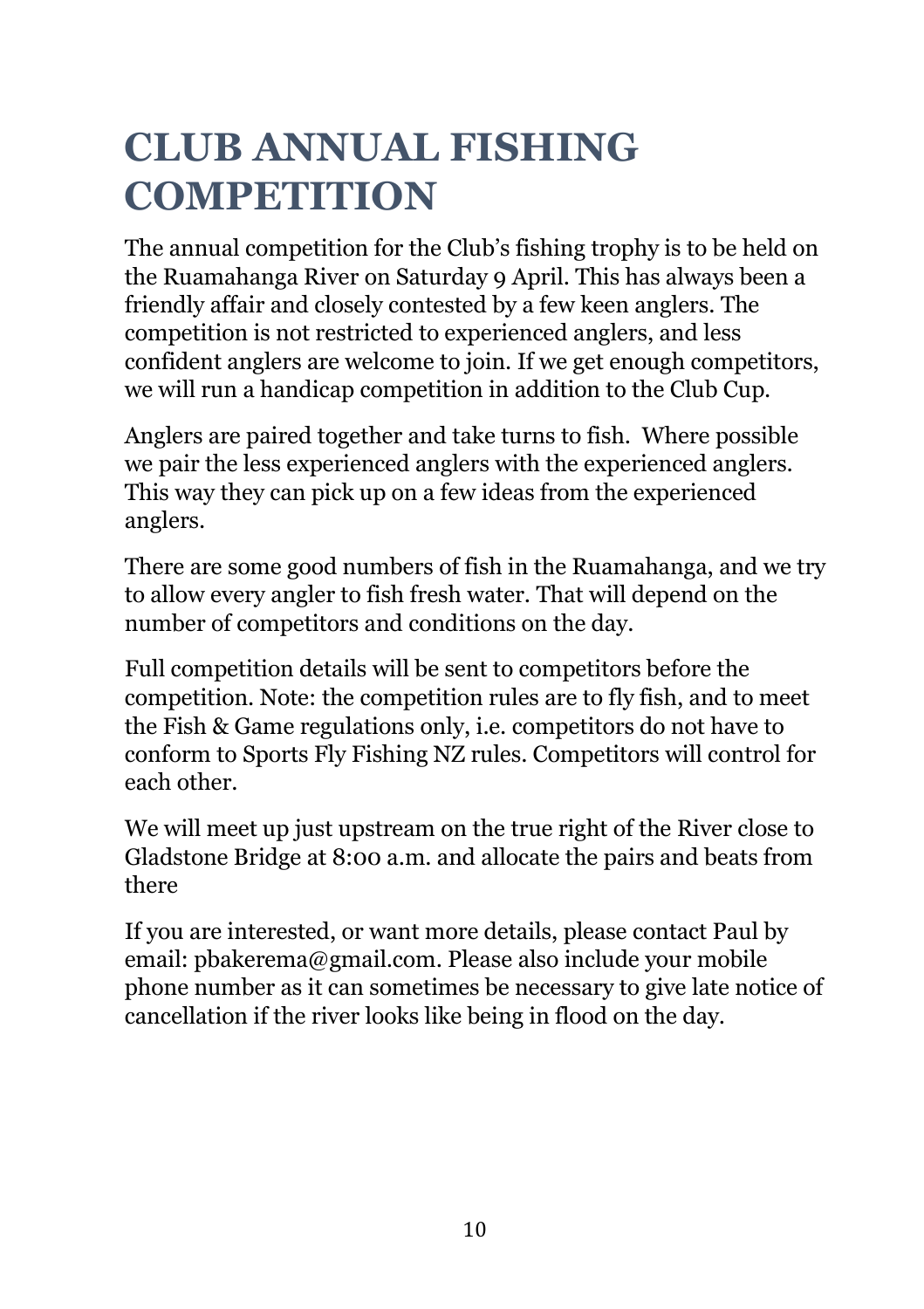# **CLUB ANNUAL FISHING COMPETITION**

The annual competition for the Club's fishing trophy is to be held on the Ruamahanga River on Saturday 9 April. This has always been a friendly affair and closely contested by a few keen anglers. The competition is not restricted to experienced anglers, and less confident anglers are welcome to join. If we get enough competitors, we will run a handicap competition in addition to the Club Cup.

Anglers are paired together and take turns to fish. Where possible we pair the less experienced anglers with the experienced anglers. This way they can pick up on a few ideas from the experienced anglers.

There are some good numbers of fish in the Ruamahanga, and we try to allow every angler to fish fresh water. That will depend on the number of competitors and conditions on the day.

Full competition details will be sent to competitors before the competition. Note: the competition rules are to fly fish, and to meet the Fish & Game regulations only, i.e. competitors do not have to conform to Sports Fly Fishing NZ rules. Competitors will control for each other.

We will meet up just upstream on the true right of the River close to Gladstone Bridge at 8:00 a.m. and allocate the pairs and beats from there

If you are interested, or want more details, please contact Paul by email: pbakerema@gmail.com. Please also include your mobile phone number as it can sometimes be necessary to give late notice of cancellation if the river looks like being in flood on the day.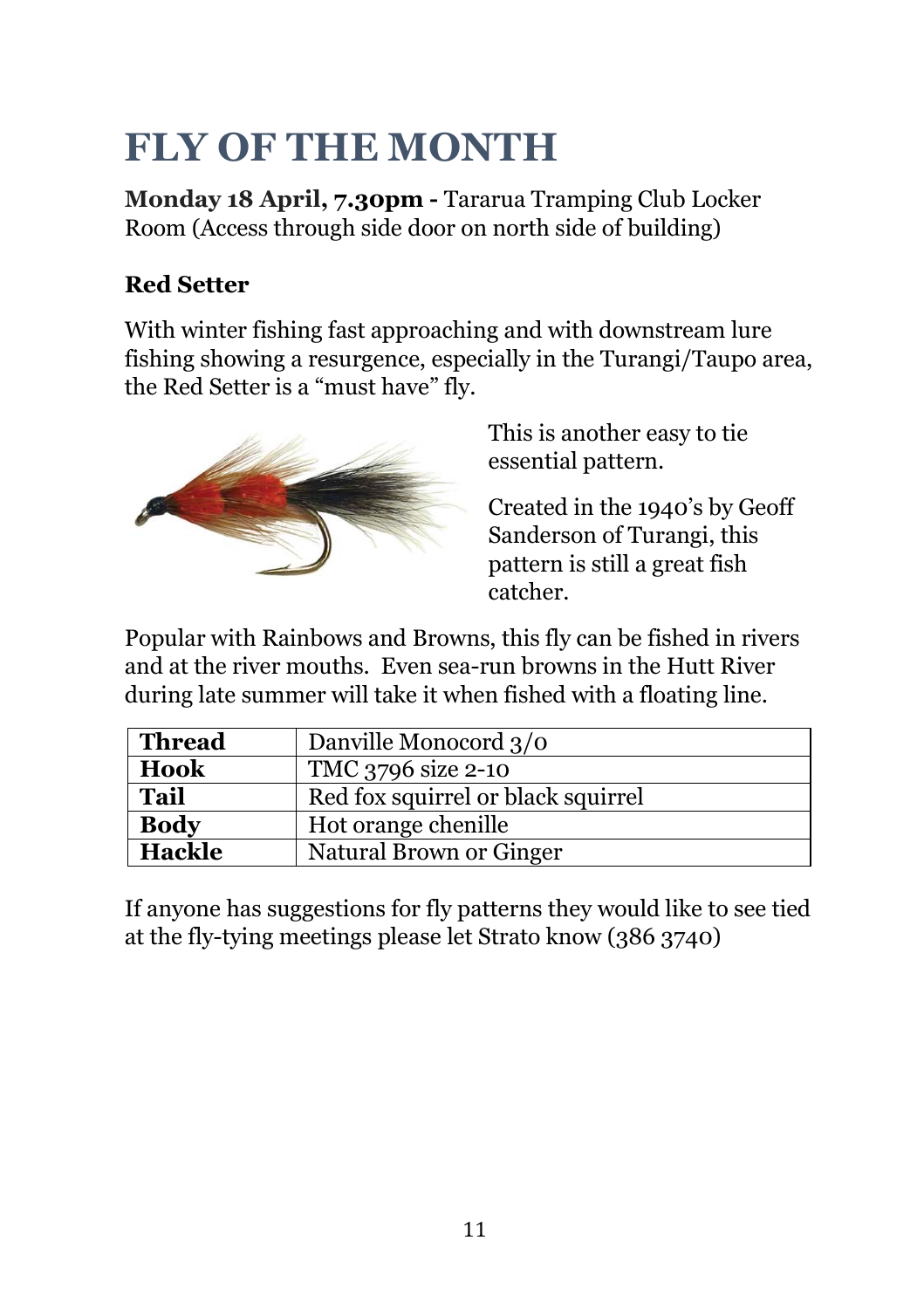# **FLY OF THE MONTH**

**Monday 18 April, 7.30pm -** Tararua Tramping Club Locker Room (Access through side door on north side of building)

#### **Red Setter**

With winter fishing fast approaching and with downstream lure fishing showing a resurgence, especially in the Turangi/Taupo area, the Red Setter is a "must have" fly.



This is another easy to tie essential pattern.

Created in the 1940's by Geoff Sanderson of Turangi, this pattern is still a great fish catcher.

Popular with Rainbows and Browns, this fly can be fished in rivers and at the river mouths. Even sea-run browns in the Hutt River during late summer will take it when fished with a floating line.

| Thread                                            | Danville Monocord 3/0   |  |
|---------------------------------------------------|-------------------------|--|
| Hook                                              | TMC 3796 size 2-10      |  |
| <b>Tail</b><br>Red fox squirrel or black squirrel |                         |  |
| <b>Body</b>                                       | Hot orange chenille     |  |
| <b>Hackle</b>                                     | Natural Brown or Ginger |  |

If anyone has suggestions for fly patterns they would like to see tied at the fly-tying meetings please let Strato know (386 3740)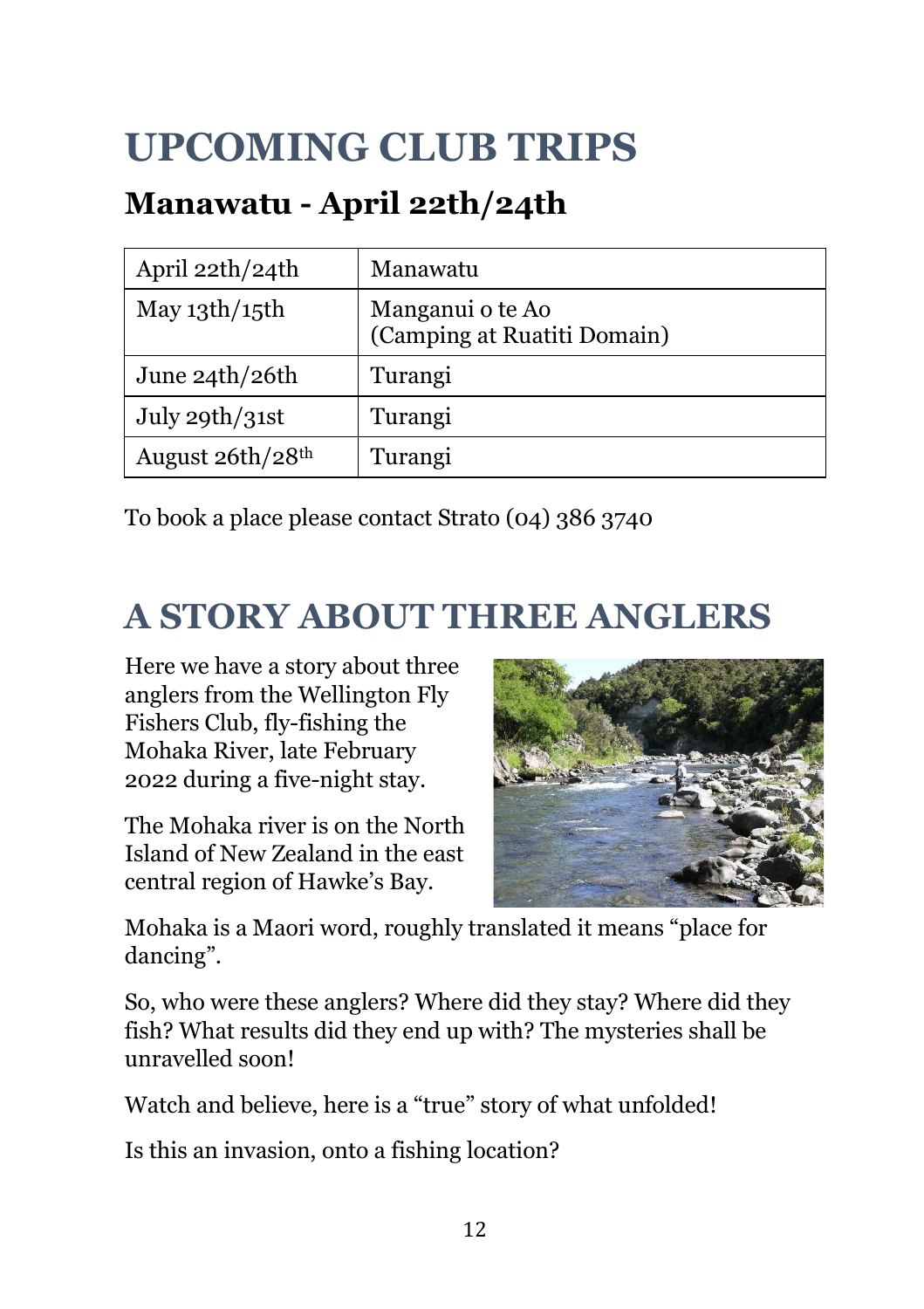# **UPCOMING CLUB TRIPS**

## **Manawatu - April 22th/24th**

| April 22th/24th      | Manawatu                                        |
|----------------------|-------------------------------------------------|
| May $13$ th/ $15$ th | Manganui o te Ao<br>(Camping at Ruatiti Domain) |
| June $24th/26th$     | Turangi                                         |
| July 29th/31st       | Turangi                                         |
| August 26th/28th     | Turangi                                         |

To book a place please contact Strato (04) 386 3740

## **A STORY ABOUT THREE ANGLERS**

Here we have a story about three anglers from the Wellington Fly Fishers Club, fly-fishing the Mohaka River, late February 2022 during a five-night stay.

The Mohaka river is on the North Island of New Zealand in the east central region of Hawke's Bay.



Mohaka is a Maori word, roughly translated it means "place for dancing".

So, who were these anglers? Where did they stay? Where did they fish? What results did they end up with? The mysteries shall be unravelled soon!

Watch and believe, here is a "true" story of what unfolded!

Is this an invasion, onto a fishing location?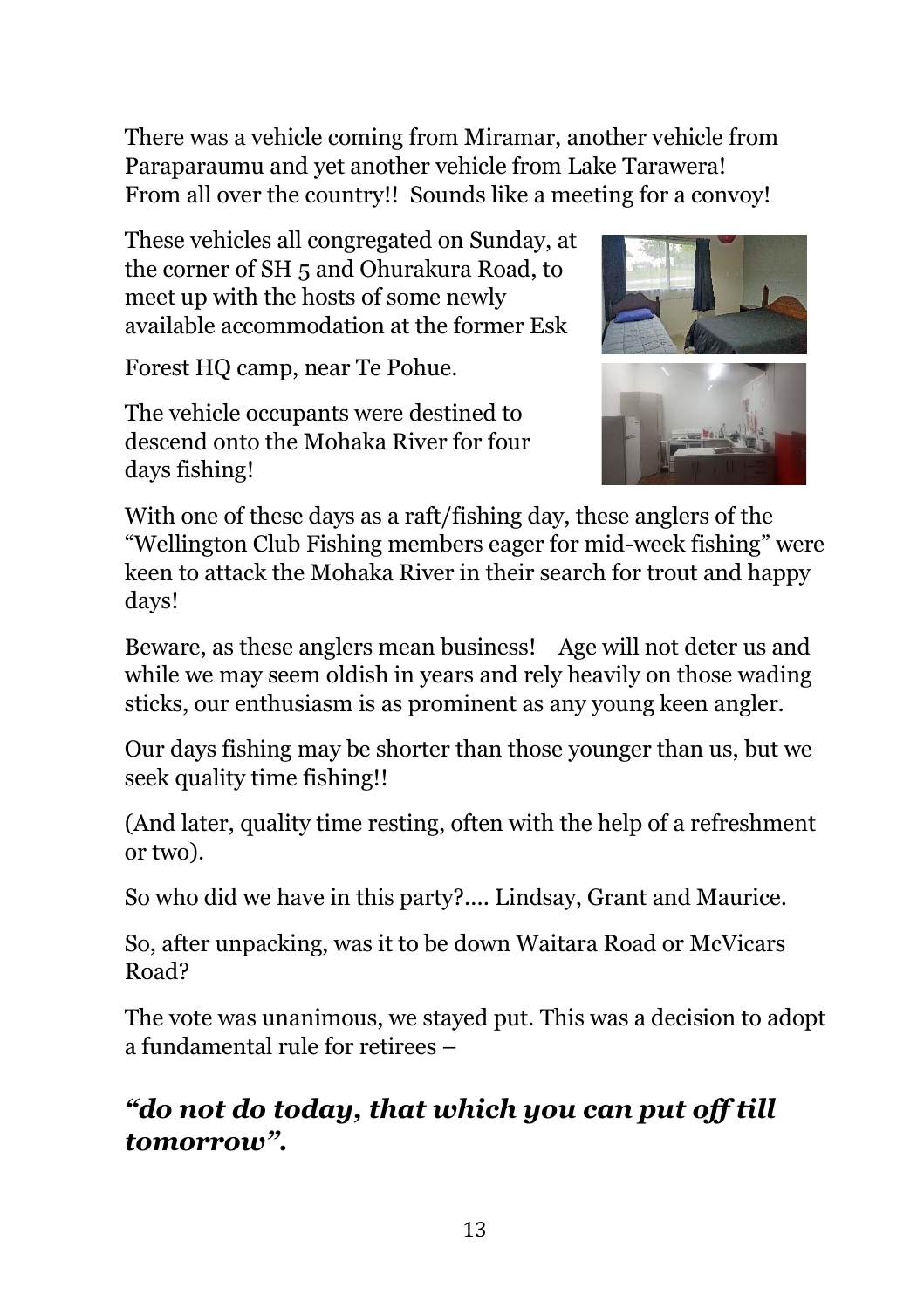There was a vehicle coming from Miramar, another vehicle from Paraparaumu and yet another vehicle from Lake Tarawera! From all over the country!! Sounds like a meeting for a convoy!

These vehicles all congregated on Sunday, at the corner of SH 5 and Ohurakura Road, to meet up with the hosts of some newly available accommodation at the former Esk

Forest HQ camp, near Te Pohue.

The vehicle occupants were destined to descend onto the Mohaka River for four days fishing!



With one of these days as a raft/fishing day, these anglers of the "Wellington Club Fishing members eager for mid-week fishing" were keen to attack the Mohaka River in their search for trout and happy days!

Beware, as these anglers mean business! Age will not deter us and while we may seem oldish in years and rely heavily on those wading sticks, our enthusiasm is as prominent as any young keen angler.

Our days fishing may be shorter than those younger than us, but we seek quality time fishing!!

(And later, quality time resting, often with the help of a refreshment or two).

So who did we have in this party?.... Lindsay, Grant and Maurice.

So, after unpacking, was it to be down Waitara Road or McVicars Road?

The vote was unanimous, we stayed put. This was a decision to adopt a fundamental rule for retirees –

#### *"do not do today, that which you can put off till tomorrow".*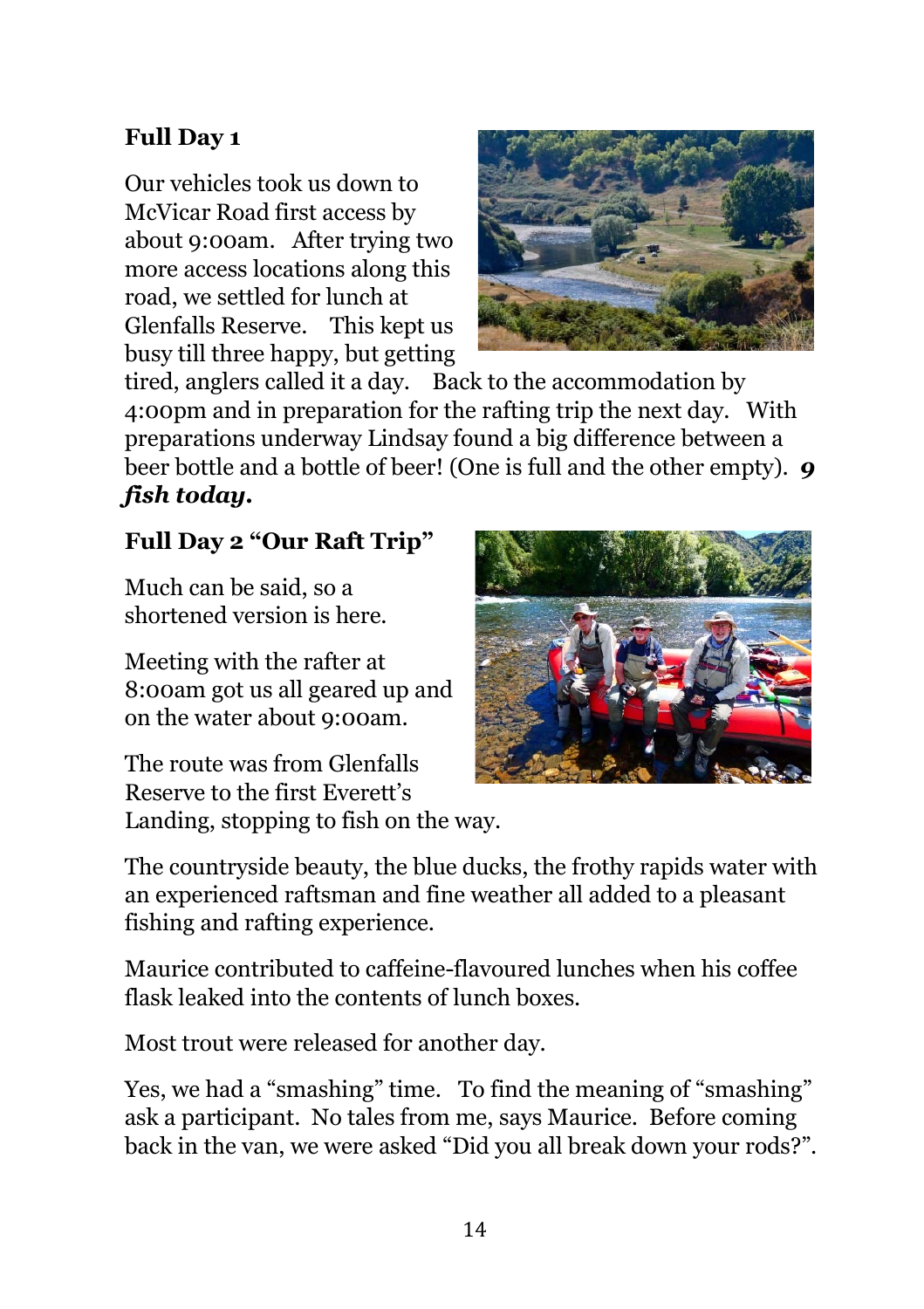#### **Full Day 1**

Our vehicles took us down to McVicar Road first access by about 9:00am. After trying two more access locations along this road, we settled for lunch at Glenfalls Reserve. This kept us busy till three happy, but getting



tired, anglers called it a day. Back to the accommodation by 4:00pm and in preparation for the rafting trip the next day. With preparations underway Lindsay found a big difference between a beer bottle and a bottle of beer! (One is full and the other empty). *9 fish today.*

#### **Full Day 2 "Our Raft Trip"**

Much can be said, so a shortened version is here.

Meeting with the rafter at 8:00am got us all geared up and on the water about 9:00am.

The route was from Glenfalls Reserve to the first Everett's Landing, stopping to fish on the way.



The countryside beauty, the blue ducks, the frothy rapids water with an experienced raftsman and fine weather all added to a pleasant fishing and rafting experience.

Maurice contributed to caffeine-flavoured lunches when his coffee flask leaked into the contents of lunch boxes.

Most trout were released for another day.

Yes, we had a "smashing" time. To find the meaning of "smashing" ask a participant. No tales from me, says Maurice. Before coming back in the van, we were asked "Did you all break down your rods?".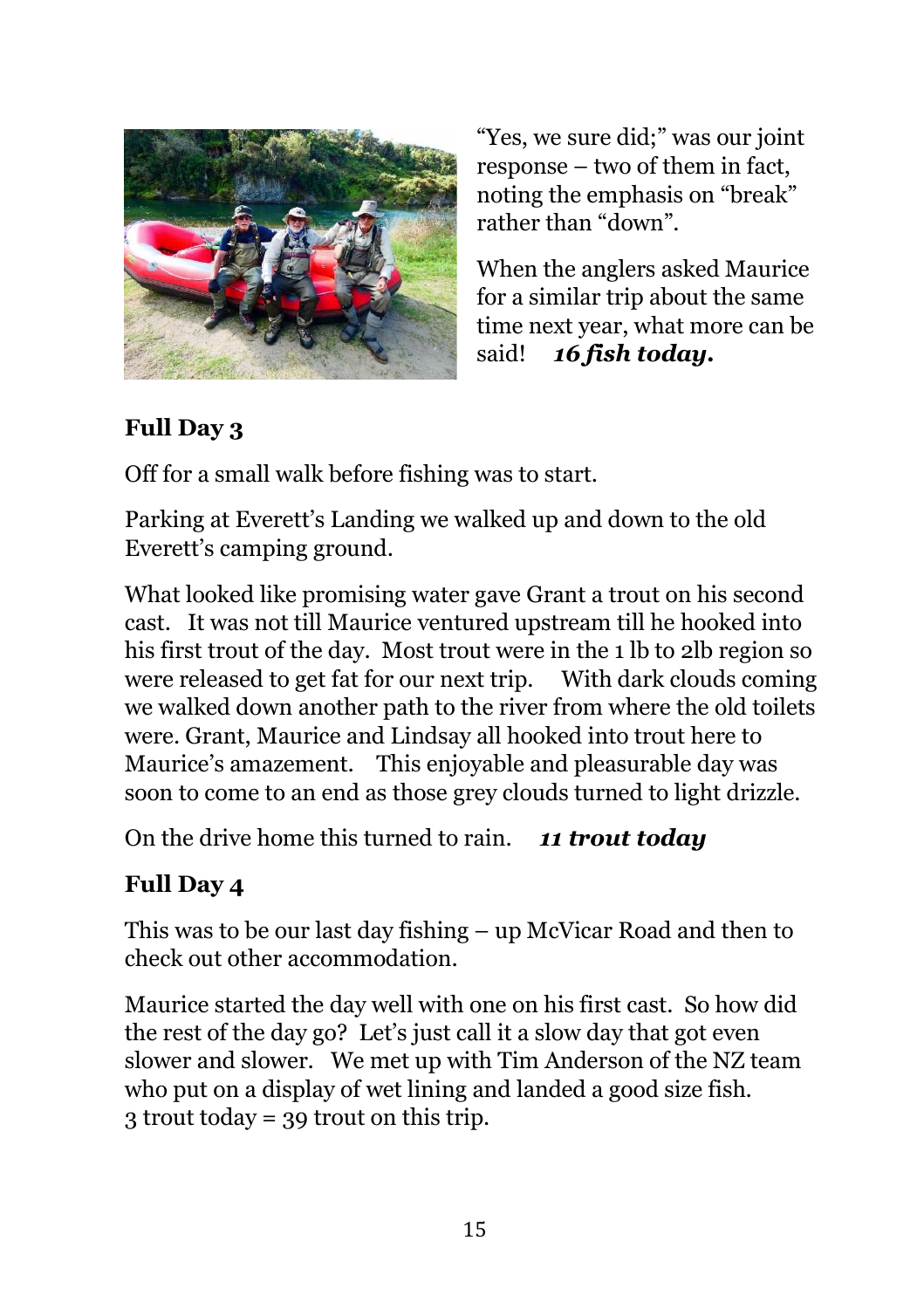

"Yes, we sure did;" was our joint response – two of them in fact, noting the emphasis on "break" rather than "down".

When the anglers asked Maurice for a similar trip about the same time next year, what more can be said! *16 fish today.*

#### **Full Day 3**

Off for a small walk before fishing was to start.

Parking at Everett's Landing we walked up and down to the old Everett's camping ground.

What looked like promising water gave Grant a trout on his second cast. It was not till Maurice ventured upstream till he hooked into his first trout of the day. Most trout were in the 1 lb to 2lb region so were released to get fat for our next trip. With dark clouds coming we walked down another path to the river from where the old toilets were. Grant, Maurice and Lindsay all hooked into trout here to Maurice's amazement. This enjoyable and pleasurable day was soon to come to an end as those grey clouds turned to light drizzle.

On the drive home this turned to rain. *11 trout today*

#### **Full Day 4**

This was to be our last day fishing – up McVicar Road and then to check out other accommodation.

Maurice started the day well with one on his first cast. So how did the rest of the day go? Let's just call it a slow day that got even slower and slower. We met up with Tim Anderson of the NZ team who put on a display of wet lining and landed a good size fish. 3 trout today = 39 trout on this trip.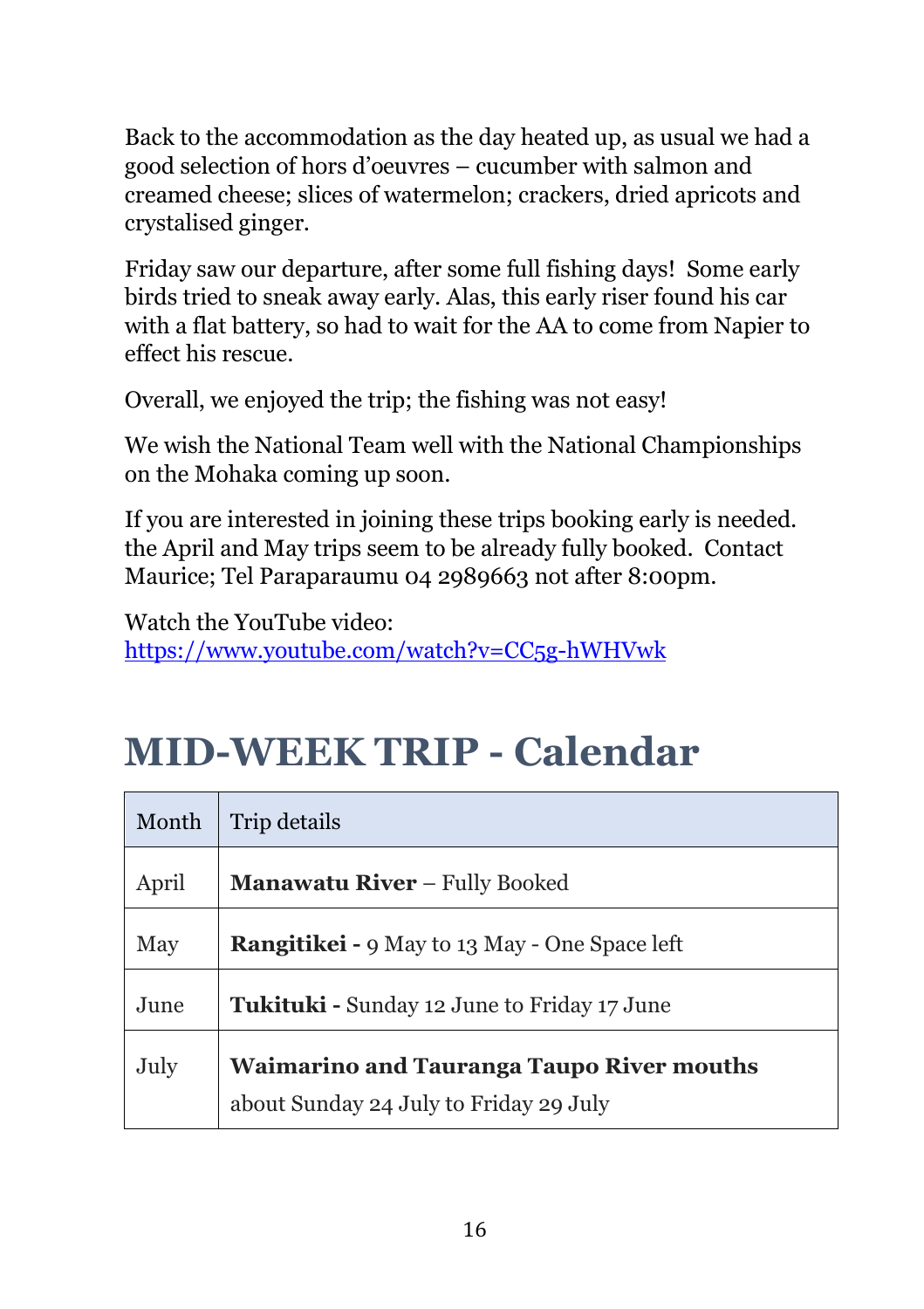Back to the accommodation as the day heated up, as usual we had a good selection of hors d'oeuvres – cucumber with salmon and creamed cheese; slices of watermelon; crackers, dried apricots and crystalised ginger.

Friday saw our departure, after some full fishing days! Some early birds tried to sneak away early. Alas, this early riser found his car with a flat battery, so had to wait for the AA to come from Napier to effect his rescue.

Overall, we enjoyed the trip; the fishing was not easy!

We wish the National Team well with the National Championships on the Mohaka coming up soon.

If you are interested in joining these trips booking early is needed. the April and May trips seem to be already fully booked. Contact Maurice; Tel Paraparaumu 04 2989663 not after 8:00pm.

Watch the YouTube video: https://www.youtube.com/watch?v=CC5g-hWHVwk

# **MID-WEEK TRIP - Calendar**

| Month | Trip details                                                                               |
|-------|--------------------------------------------------------------------------------------------|
| April | <b>Manawatu River - Fully Booked</b>                                                       |
| May   | <b>Rangitikei - 9 May to 13 May - One Space left</b>                                       |
| June  | <b>Tukituki - Sunday 12 June to Friday 17 June</b>                                         |
| July  | <b>Waimarino and Tauranga Taupo River mouths</b><br>about Sunday 24 July to Friday 29 July |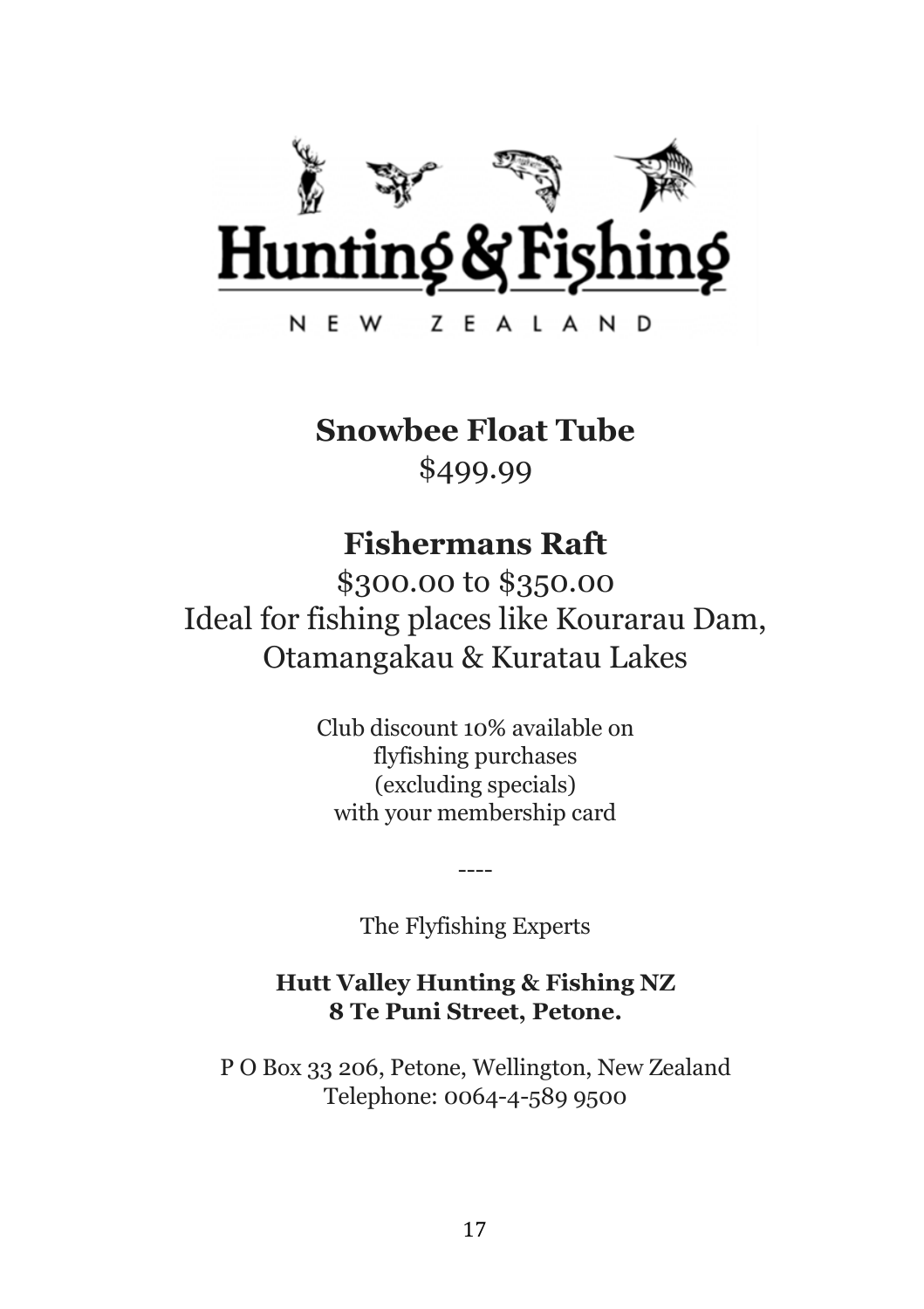

#### **Snowbee Float Tube**

\$499.99

#### **Fishermans Raft**

\$300.00 to \$350.00 Ideal for fishing places like Kourarau Dam, Otamangakau & Kuratau Lakes

> Club discount 10% available on flyfishing purchases (excluding specials) with your membership card

> > The Flyfishing Experts

----

#### **Hutt Valley Hunting & Fishing NZ 8 Te Puni Street, Petone.**

P O Box 33 206, Petone, Wellington, New Zealand Telephone: 0064-4-589 9500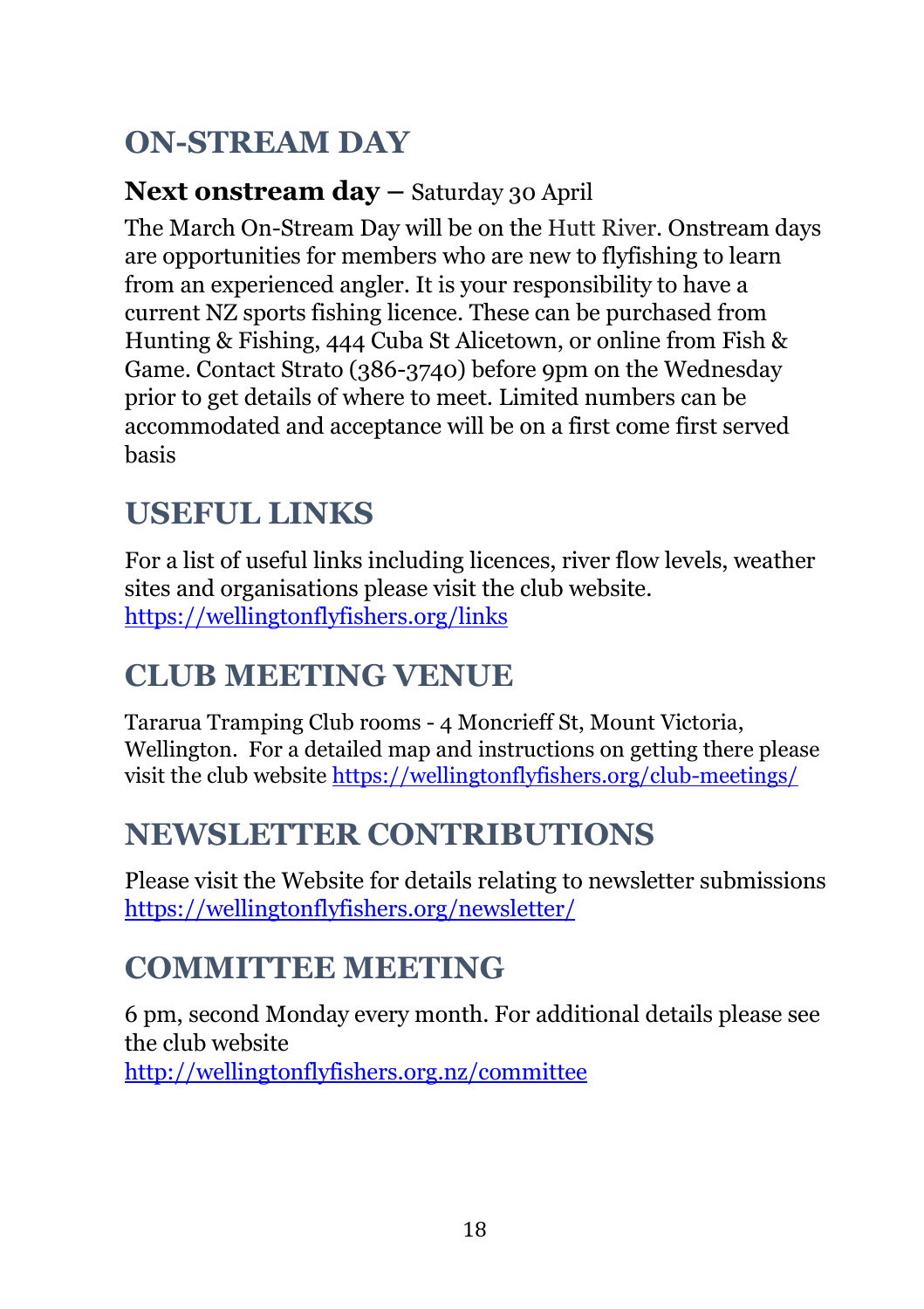## **ON-STREAM DAY**

#### **Next onstream day –** Saturday 30 April

The March On-Stream Day will be on the Hutt River. Onstream days are opportunities for members who are new to flyfishing to learn from an experienced angler. It is your responsibility to have a current NZ sports fishing licence. These can be purchased from Hunting & Fishing, 444 Cuba St Alicetown, or online from Fish & Game. Contact Strato (386-3740) before 9pm on the Wednesday prior to get details of where to meet. Limited numbers can be accommodated and acceptance will be on a first come first served basis

## **USEFUL LINKS**

For a list of useful links including licences, river flow levels, weather sites and organisations please visit the club website. https://wellingtonflyfishers.org/links

## **CLUB MEETING VENUE**

Tararua Tramping Club rooms - 4 Moncrieff St, Mount Victoria, Wellington. For a detailed map and instructions on getting there please visit the club website https://wellingtonflyfishers.org/club-meetings/

## **NEWSLETTER CONTRIBUTIONS**

Please visit the Website for details relating to newsletter submissions https://wellingtonflyfishers.org/newsletter/

## **COMMITTEE MEETING**

6 pm, second Monday every month. For additional details please see the club website http://wellingtonflyfishers.org.nz/committee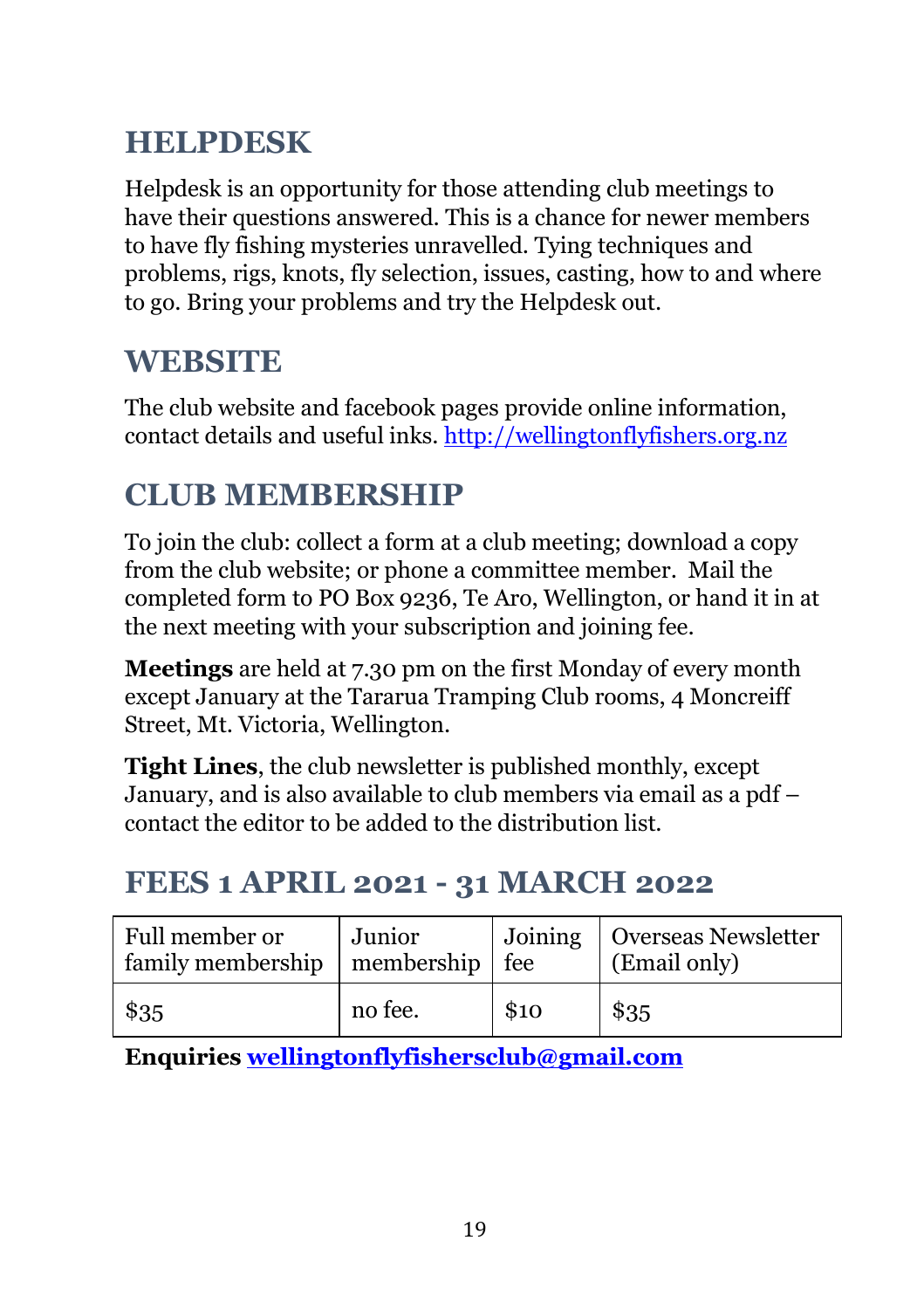## **HELPDESK**

Helpdesk is an opportunity for those attending club meetings to have their questions answered. This is a chance for newer members to have fly fishing mysteries unravelled. Tying techniques and problems, rigs, knots, fly selection, issues, casting, how to and where to go. Bring your problems and try the Helpdesk out.

### **WEBSITE**

The club website and facebook pages provide online information, contact details and useful inks. http://wellingtonflyfishers.org.nz

#### **CLUB MEMBERSHIP**

To join the club: collect a form at a club meeting; download a copy from the club website; or phone a committee member. Mail the completed form to PO Box 9236, Te Aro, Wellington, or hand it in at the next meeting with your subscription and joining fee.

**Meetings** are held at 7.30 pm on the first Monday of every month except January at the Tararua Tramping Club rooms, 4 Moncreiff Street, Mt. Victoria, Wellington.

**Tight Lines**, the club newsletter is published monthly, except January, and is also available to club members via email as a pdf – contact the editor to be added to the distribution list.

#### **FEES 1 APRIL 2021 - 31 MARCH 2022**

| Full member or<br>family membership   membership   fee | Junior  |      | Joining   Overseas Newsletter<br>(Email only) |
|--------------------------------------------------------|---------|------|-----------------------------------------------|
| \$35                                                   | no fee. | \$10 | \$35                                          |

**Enquiries wellingtonflyfishersclub@gmail.com**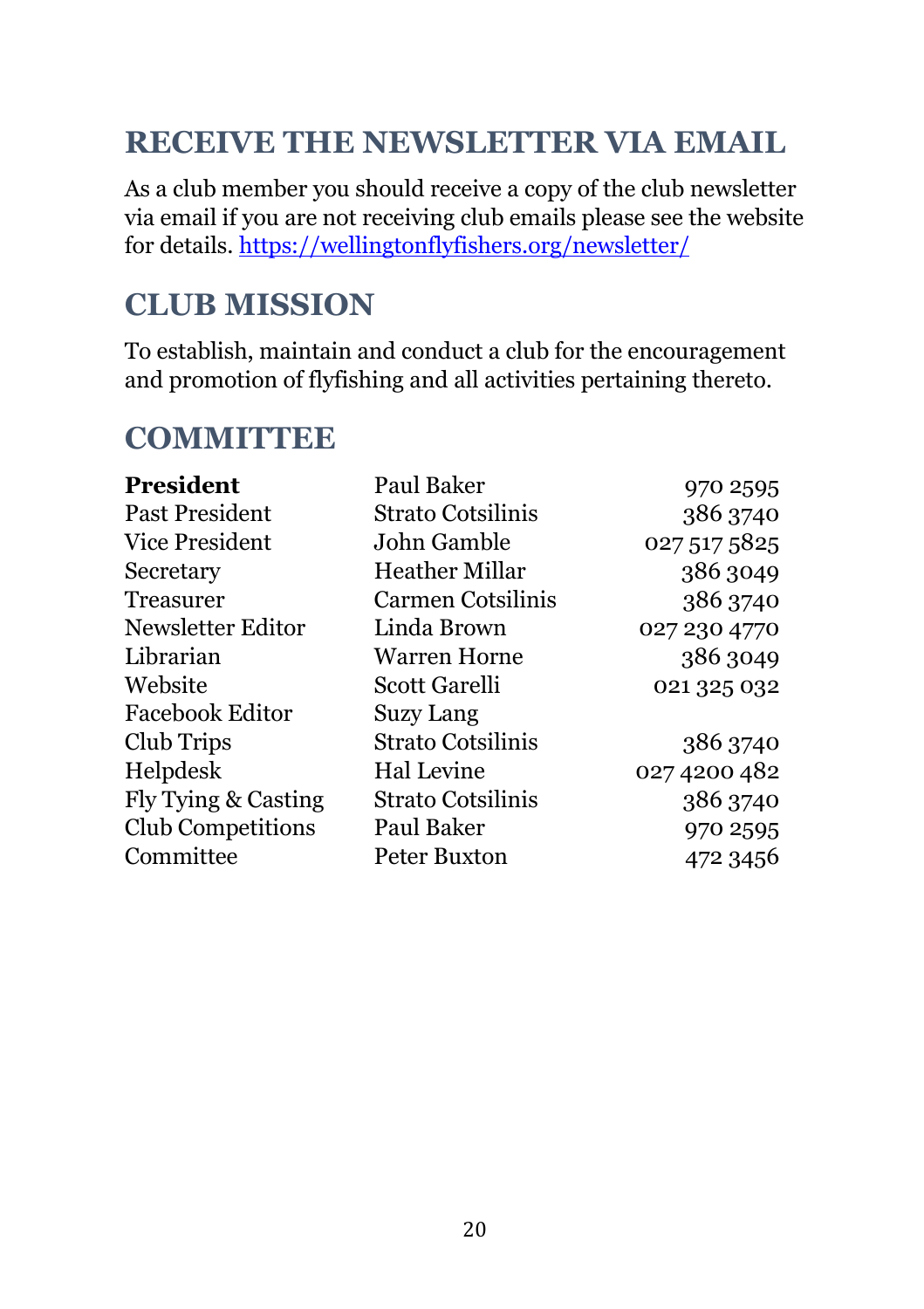## **RECEIVE THE NEWSLETTER VIA EMAIL**

As a club member you should receive a copy of the club newsletter via email if you are not receiving club emails please see the website for details. https://wellingtonflyfishers.org/newsletter/

#### **CLUB MISSION**

To establish, maintain and conduct a club for the encouragement and promotion of flyfishing and all activities pertaining thereto.

#### **COMMITTEE**

| Paul Baker               | 970 2595     |
|--------------------------|--------------|
| Strato Cotsilinis        | 386 3740     |
| John Gamble              | 027 517 5825 |
| Heather Millar           | 386 3049     |
| Carmen Cotsilinis        | 386 3740     |
| Linda Brown              | 027 230 4770 |
| Warren Horne             | 386 3049     |
| Scott Garelli            | 021 325 032  |
| <b>Suzy Lang</b>         |              |
| <b>Strato Cotsilinis</b> | 386 3740     |
| Hal Levine               | 027 4200 482 |
| Strato Cotsilinis        | 386 3740     |
| Paul Baker               | 970 2595     |
| Peter Buxton             | 472 3456     |
|                          |              |